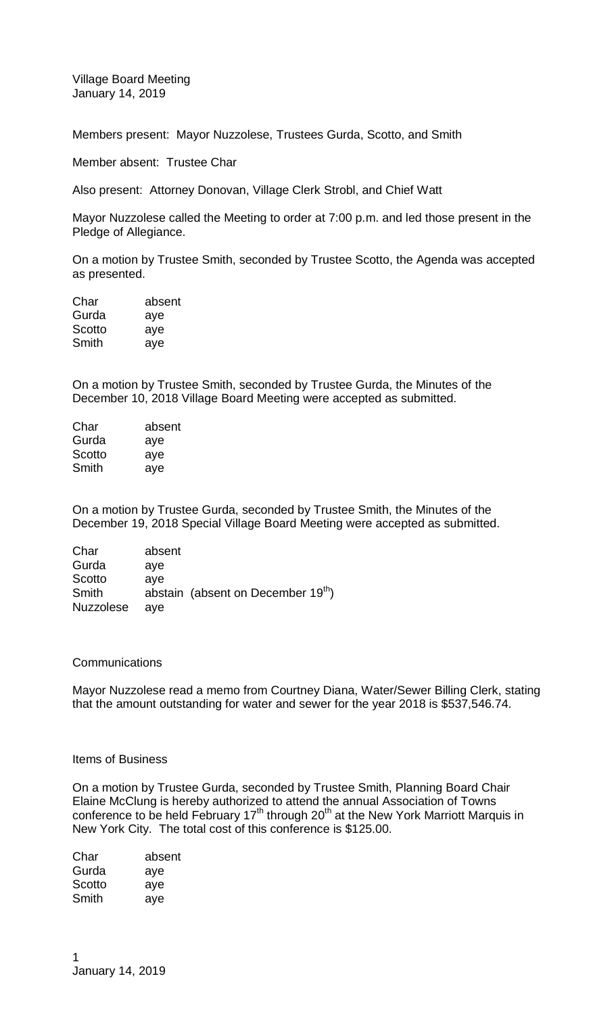Village Board Meeting January 14, 2019

Members present: Mayor Nuzzolese, Trustees Gurda, Scotto, and Smith

Member absent: Trustee Char

Also present: Attorney Donovan, Village Clerk Strobl, and Chief Watt

Mayor Nuzzolese called the Meeting to order at 7:00 p.m. and led those present in the Pledge of Allegiance.

On a motion by Trustee Smith, seconded by Trustee Scotto, the Agenda was accepted as presented.

Char absent Gurda aye Scotto aye Smith aye

On a motion by Trustee Smith, seconded by Trustee Gurda, the Minutes of the December 10, 2018 Village Board Meeting were accepted as submitted.

| absent |
|--------|
| aye    |
| aye    |
| ave    |
|        |

On a motion by Trustee Gurda, seconded by Trustee Smith, the Minutes of the December 19, 2018 Special Village Board Meeting were accepted as submitted.

| Char             | absent |                                   |
|------------------|--------|-----------------------------------|
| Gurda            | ave    |                                   |
| Scotto           | ave    |                                   |
| Smith            |        | abstain (absent on December 19th) |
| <b>Nuzzolese</b> | ave    |                                   |

## **Communications**

Mayor Nuzzolese read a memo from Courtney Diana, Water/Sewer Billing Clerk, stating that the amount outstanding for water and sewer for the year 2018 is \$537,546.74.

## Items of Business

On a motion by Trustee Gurda, seconded by Trustee Smith, Planning Board Chair Elaine McClung is hereby authorized to attend the annual Association of Towns conference to be held February  $17<sup>th</sup>$  through  $20<sup>th</sup>$  at the New York Marriott Marquis in New York City. The total cost of this conference is \$125.00.

| Char   | absent |
|--------|--------|
| Gurda  | aye    |
| Scotto | aye    |
| Smith  | aye    |